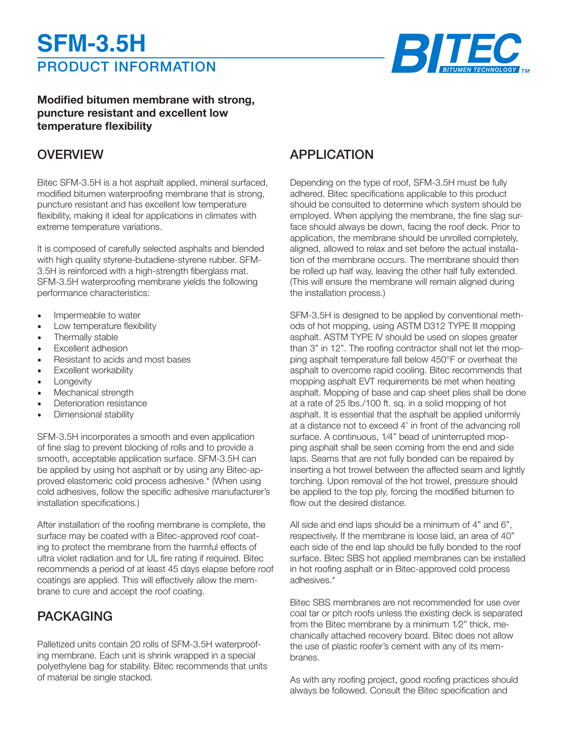# PRODUCT INFORMATION **SFM-3.5H**



### **Modified bitumen membrane with strong, puncture resistant and excellent low temperature flexibility**

### **OVERVIEW**

Bitec SFM-3.5H is a hot asphalt applied, mineral surfaced, modified bitumen waterproofing membrane that is strong, puncture resistant and has excellent low temperature flexibility, making it ideal for applications in climates with extreme temperature variations.

It is composed of carefully selected asphalts and blended with high quality styrene-butadiene-styrene rubber. SFM-3.5H is reinforced with a high-strength fiberglass mat. SFM-3.5H waterproofing membrane yields the following performance characteristics:

- Impermeable to water
- Low temperature flexibility
- Thermally stable
- Excellent adhesion
- Resistant to acids and most bases
- Excellent workability
- Longevity
- Mechanical strength
- Deterioration resistance
- Dimensional stability

SFM-3.5H incorporates a smooth and even application of fine slag to prevent blocking of rolls and to provide a smooth, acceptable application surface. SFM-3.5H can be applied by using hot asphalt or by using any Bitec-approved elastomeric cold process adhesive.\* (When using cold adhesives, follow the specific adhesive manufacturer's installation specifications.)

After installation of the roofing membrane is complete, the surface may be coated with a Bitec-approved roof coating to protect the membrane from the harmful effects of ultra violet radiation and for UL fire rating if required. Bitec recommends a period of at least 45 days elapse before roof coatings are applied. This will effectively allow the membrane to cure and accept the roof coating.

# PACKAGING

Palletized units contain 20 rolls of SFM-3.5H waterproofing membrane. Each unit is shrink wrapped in a special polyethylene bag for stability. Bitec recommends that units of material be single stacked.

## APPLICATION

Depending on the type of roof, SFM-3.5H must be fully adhered. Bitec specifications applicable to this product should be consulted to determine which system should be employed. When applying the membrane, the fine slag surface should always be down, facing the roof deck. Prior to application, the membrane should be unrolled completely, aligned, allowed to relax and set before the actual installation of the membrane occurs. The membrane should then be rolled up half way, leaving the other half fully extended. (This will ensure the membrane will remain aligned during the installation process.)

SFM-3.5H is designed to be applied by conventional methods of hot mopping, using ASTM D312 TYPE lll mopping asphalt. ASTM TYPE IV should be used on slopes greater than 3" in 12". The roofing contractor shall not let the mopping asphalt temperature fall below 450°F or overheat the asphalt to overcome rapid cooling. Bitec recommends that mopping asphalt EVT requirements be met when heating asphalt. Mopping of base and cap sheet plies shall be done at a rate of 25 Ibs./100 ft. sq. in a solid mopping of hot asphalt. It is essential that the asphalt be applied uniformly at a distance not to exceed 4' in front of the advancing roll surface. A continuous, 1/4" bead of uninterrupted mopping asphalt shall be seen coming from the end and side laps. Seams that are not fully bonded can be repaired by inserting a hot trowel between the affected seam and lightly torching. Upon removal of the hot trowel, pressure should be applied to the top ply, forcing the modified bitumen to flow out the desired distance.

All side and end laps should be a minimum of 4" and 6", respectively. If the membrane is loose laid, an area of 40" each side of the end lap should be fully bonded to the roof surface. Bitec SBS hot applied membranes can be installed in hot roofing asphalt or in Bitec-approved cold process adhesives.\*

Bitec SBS membranes are not recommended for use over coal tar or pitch roofs unless the existing deck is separated from the Bitec membrane by a minimum 1⁄2" thick, mechanically attached recovery board. Bitec does not allow the use of plastic roofer's cement with any of its membranes.

As with any roofing project, good roofing practices should always be followed. Consult the Bitec specification and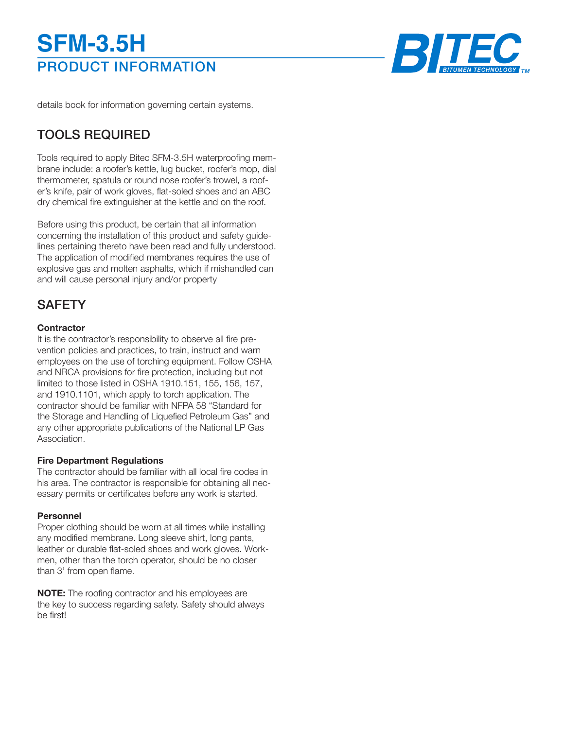# PRODUCT INFORMATION **SFM-3.5H**



details book for information governing certain systems.

# TOOLS REQUIRED

Tools required to apply Bitec SFM-3.5H waterproofing membrane include: a roofer's kettle, lug bucket, roofer's mop, dial thermometer, spatula or round nose roofer's trowel, a roofer's knife, pair of work gloves, flat-soled shoes and an ABC dry chemical fire extinguisher at the kettle and on the roof.

Before using this product, be certain that all information concerning the installation of this product and safety guidelines pertaining thereto have been read and fully understood. The application of modified membranes requires the use of explosive gas and molten asphalts, which if mishandled can and will cause personal injury and/or property

## **SAFETY**

#### **Contractor**

It is the contractor's responsibility to observe all fire prevention policies and practices, to train, instruct and warn employees on the use of torching equipment. Follow OSHA and NRCA provisions for fire protection, including but not limited to those listed in OSHA 1910.151, 155, 156, 157, and 1910.1101, which apply to torch application. The contractor should be familiar with NFPA 58 "Standard for the Storage and Handling of Liquefied Petroleum Gas" and any other appropriate publications of the National LP Gas Association.

#### **Fire Department Regulations**

The contractor should be familiar with all local fire codes in his area. The contractor is responsible for obtaining all necessary permits or certificates before any work is started.

#### **Personnel**

Proper clothing should be worn at all times while installing any modified membrane. Long sleeve shirt, long pants, leather or durable flat-soled shoes and work gloves. Workmen, other than the torch operator, should be no closer than 3' from open flame.

**NOTE:** The roofing contractor and his employees are the key to success regarding safety. Safety should always be first!